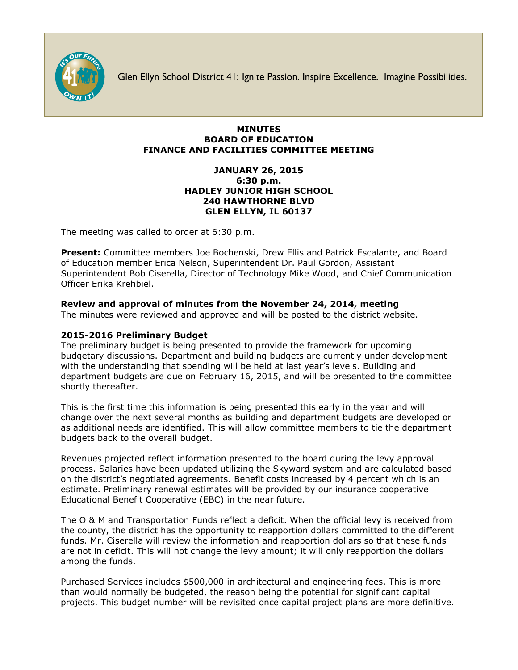

Glen Ellyn School District 41: Ignite Passion. Inspire Excellence. Imagine Possibilities.

## **MINUTES BOARD OF EDUCATION FINANCE AND FACILITIES COMMITTEE MEETING**

## **JANUARY 26, 2015 6:30 p.m. HADLEY JUNIOR HIGH SCHOOL 240 HAWTHORNE BLVD GLEN ELLYN, IL 60137**

The meeting was called to order at 6:30 p.m.

**Present:** Committee members Joe Bochenski, Drew Ellis and Patrick Escalante, and Board of Education member Erica Nelson, Superintendent Dr. Paul Gordon, Assistant Superintendent Bob Ciserella, Director of Technology Mike Wood, and Chief Communication Officer [Erika Krehbiel.](http://www.d41.org/contact_email.asp?id=ekrehbiel&n=Erika_Krehbiel)

# **Review and approval of minutes from the November 24, 2014, meeting**

The minutes were reviewed and approved and will be posted to the district website.

# **2015-2016 Preliminary Budget**

The preliminary budget is being presented to provide the framework for upcoming budgetary discussions. Department and building budgets are currently under development with the understanding that spending will be held at last year's levels. Building and department budgets are due on February 16, 2015, and will be presented to the committee shortly thereafter.

This is the first time this information is being presented this early in the year and will change over the next several months as building and department budgets are developed or as additional needs are identified. This will allow committee members to tie the department budgets back to the overall budget.

Revenues projected reflect information presented to the board during the levy approval process. Salaries have been updated utilizing the Skyward system and are calculated based on the district's negotiated agreements. Benefit costs increased by 4 percent which is an estimate. Preliminary renewal estimates will be provided by our insurance cooperative Educational Benefit Cooperative (EBC) in the near future.

The O & M and Transportation Funds reflect a deficit. When the official levy is received from the county, the district has the opportunity to reapportion dollars committed to the different funds. Mr. Ciserella will review the information and reapportion dollars so that these funds are not in deficit. This will not change the levy amount; it will only reapportion the dollars among the funds.

Purchased Services includes \$500,000 in architectural and engineering fees. This is more than would normally be budgeted, the reason being the potential for significant capital projects. This budget number will be revisited once capital project plans are more definitive.